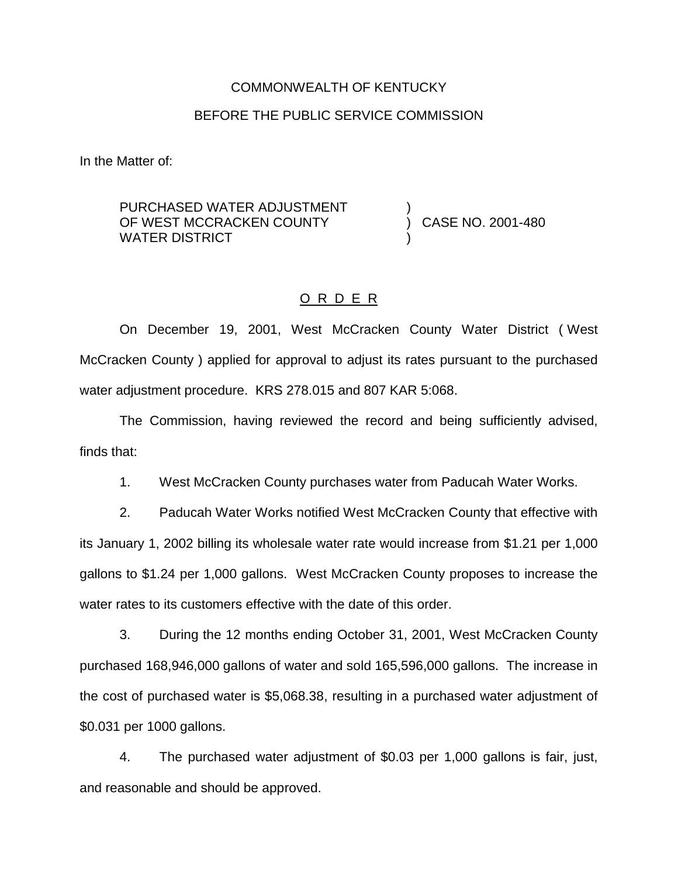# COMMONWEALTH OF KENTUCKY

#### BEFORE THE PUBLIC SERVICE COMMISSION

In the Matter of:

PURCHASED WATER ADJUSTMENT OF WEST MCCRACKEN COUNTY WATER DISTRICT ) ) CASE NO. 2001-480 )

## O R D E R

On December 19, 2001, West McCracken County Water District ( West McCracken County ) applied for approval to adjust its rates pursuant to the purchased water adjustment procedure. KRS 278.015 and 807 KAR 5:068.

The Commission, having reviewed the record and being sufficiently advised, finds that:

1. West McCracken County purchases water from Paducah Water Works.

2. Paducah Water Works notified West McCracken County that effective with its January 1, 2002 billing its wholesale water rate would increase from \$1.21 per 1,000 gallons to \$1.24 per 1,000 gallons. West McCracken County proposes to increase the water rates to its customers effective with the date of this order.

3. During the 12 months ending October 31, 2001, West McCracken County purchased 168,946,000 gallons of water and sold 165,596,000 gallons. The increase in the cost of purchased water is \$5,068.38, resulting in a purchased water adjustment of \$0.031 per 1000 gallons.

4. The purchased water adjustment of \$0.03 per 1,000 gallons is fair, just, and reasonable and should be approved.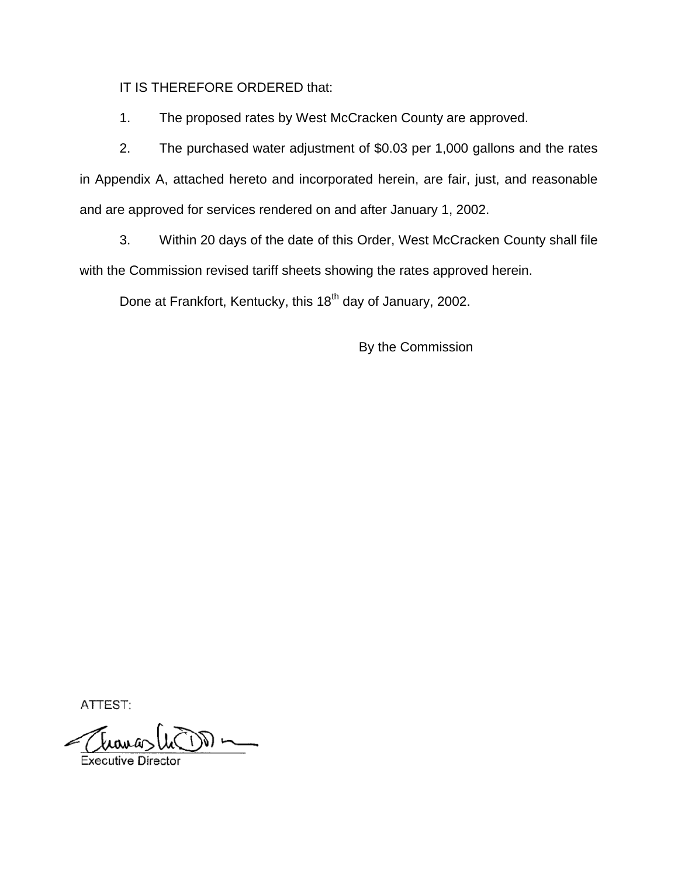IT IS THEREFORE ORDERED that:

1. The proposed rates by West McCracken County are approved.

2. The purchased water adjustment of \$0.03 per 1,000 gallons and the rates in Appendix A, attached hereto and incorporated herein, are fair, just, and reasonable and are approved for services rendered on and after January 1, 2002.

3. Within 20 days of the date of this Order, West McCracken County shall file with the Commission revised tariff sheets showing the rates approved herein.

Done at Frankfort, Kentucky, this 18<sup>th</sup> day of January, 2002.

By the Commission

ATTEST:

 $\mathfrak{b}_{\mathfrak{a}\mathfrak{a}\mathfrak{a}}$  $\bigcup_{\alpha}$ 

Executive Directo